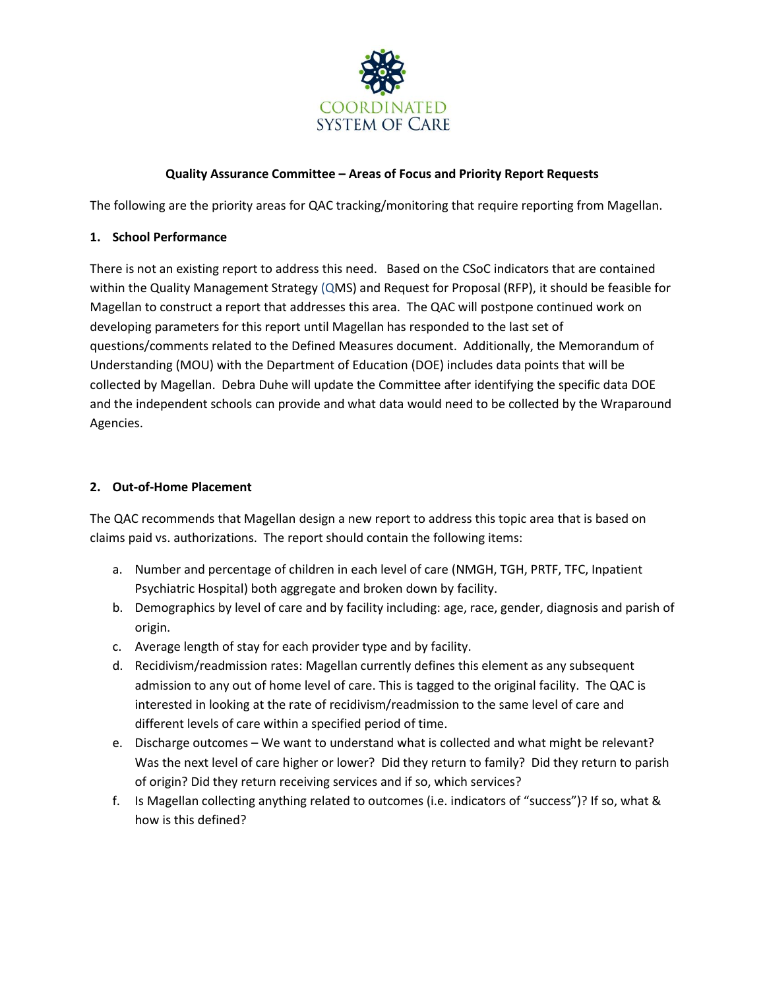

# **Quality Assurance Committee – Areas of Focus and Priority Report Requests**

The following are the priority areas for QAC tracking/monitoring that require reporting from Magellan.

## **1. School Performance**

There is not an existing report to address this need. Based on the CSoC indicators that are contained within the Quality Management Strategy (QMS) and Request for Proposal (RFP), it should be feasible for Magellan to construct a report that addresses this area. The QAC will postpone continued work on developing parameters for this report until Magellan has responded to the last set of questions/comments related to the Defined Measures document. Additionally, the Memorandum of Understanding (MOU) with the Department of Education (DOE) includes data points that will be collected by Magellan. Debra Duhe will update the Committee after identifying the specific data DOE and the independent schools can provide and what data would need to be collected by the Wraparound Agencies.

### **2. Out-of-Home Placement**

The QAC recommends that Magellan design a new report to address this topic area that is based on claims paid vs. authorizations. The report should contain the following items:

- a. Number and percentage of children in each level of care (NMGH, TGH, PRTF, TFC, Inpatient Psychiatric Hospital) both aggregate and broken down by facility.
- b. Demographics by level of care and by facility including: age, race, gender, diagnosis and parish of origin.
- c. Average length of stay for each provider type and by facility.
- d. Recidivism/readmission rates: Magellan currently defines this element as any subsequent admission to any out of home level of care. This is tagged to the original facility. The QAC is interested in looking at the rate of recidivism/readmission to the same level of care and different levels of care within a specified period of time.
- e. Discharge outcomes We want to understand what is collected and what might be relevant? Was the next level of care higher or lower? Did they return to family? Did they return to parish of origin? Did they return receiving services and if so, which services?
- f. Is Magellan collecting anything related to outcomes (i.e. indicators of "success")? If so, what & how is this defined?